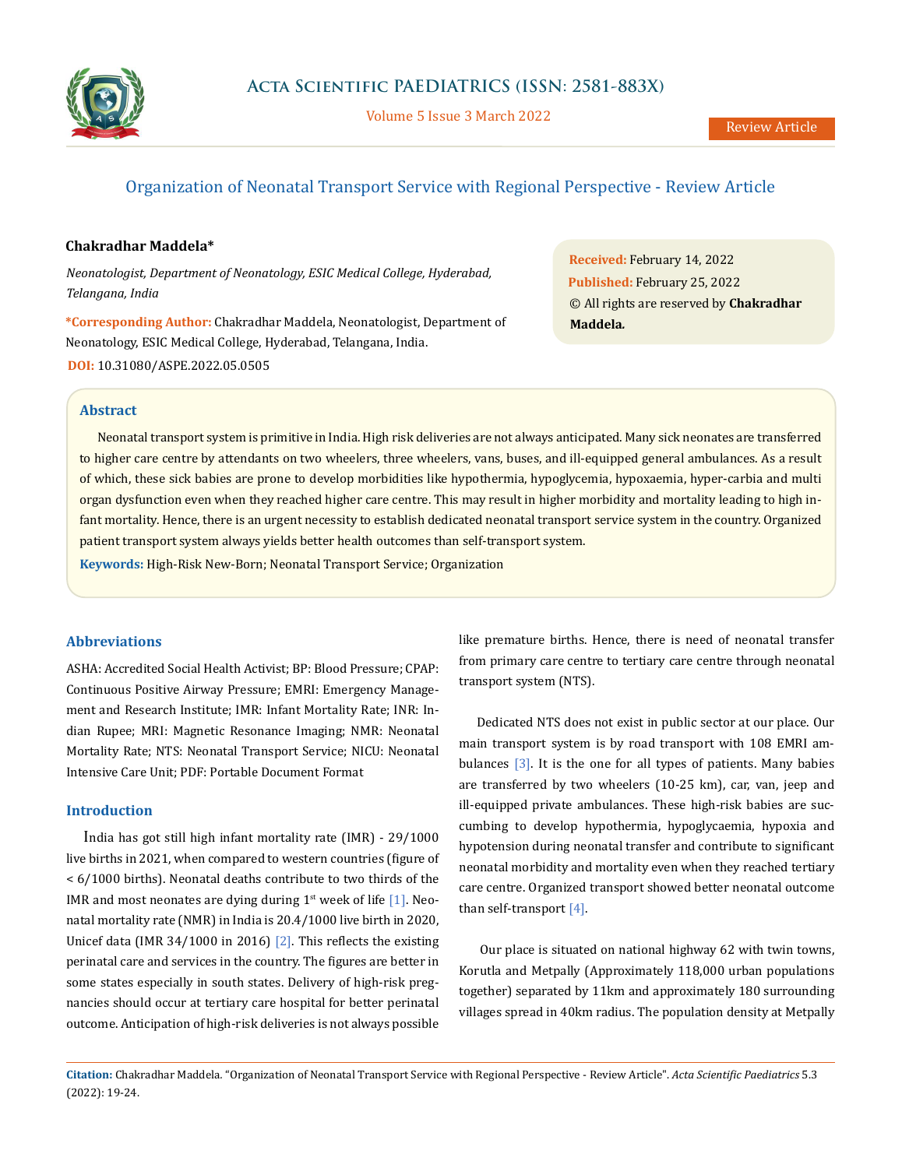

Volume 5 Issue 3 March 2022

# Organization of Neonatal Transport Service with Regional Perspective - Review Article

# **Chakradhar Maddela\***

*Neonatologist, Department of Neonatology, ESIC Medical College, Hyderabad, Telangana, India*

**\*Corresponding Author:** Chakradhar Maddela, Neonatologist, Department of Neonatology, ESIC Medical College, Hyderabad, Telangana, India. **DOI:** [10.31080/ASPE.2022.05.0505](https://actascientific.com/ASPE/pdf/ASPE-05-0505.pdf)

**Received:** February 14, 2022 **Published:** February 25, 2022 © All rights are reserved by **Chakradhar Maddela***.* 

# **Abstract**

Neonatal transport system is primitive in India. High risk deliveries are not always anticipated. Many sick neonates are transferred to higher care centre by attendants on two wheelers, three wheelers, vans, buses, and ill-equipped general ambulances. As a result of which, these sick babies are prone to develop morbidities like hypothermia, hypoglycemia, hypoxaemia, hyper-carbia and multi organ dysfunction even when they reached higher care centre. This may result in higher morbidity and mortality leading to high infant mortality. Hence, there is an urgent necessity to establish dedicated neonatal transport service system in the country. Organized patient transport system always yields better health outcomes than self-transport system.

**Keywords:** High-Risk New-Born; Neonatal Transport Service; Organization

# **Abbreviations**

ASHA: Accredited Social Health Activist; BP: Blood Pressure; CPAP: Continuous Positive Airway Pressure; EMRI: Emergency Management and Research Institute; IMR: Infant Mortality Rate; INR: Indian Rupee; MRI: Magnetic Resonance Imaging; NMR: Neonatal Mortality Rate; NTS: Neonatal Transport Service; NICU: Neonatal Intensive Care Unit; PDF: Portable Document Format

# **Introduction**

India has got still high infant mortality rate (IMR) - 29/1000 live births in 2021, when compared to western countries (figure of < 6/1000 births). Neonatal deaths contribute to two thirds of the IMR and most neonates are dying during  $1<sup>st</sup>$  week of life [1]. Neonatal mortality rate (NMR) in India is 20.4/1000 live birth in 2020, Unicef data (IMR 34/1000 in 2016) [2]. This reflects the existing perinatal care and services in the country. The figures are better in some states especially in south states. Delivery of high-risk pregnancies should occur at tertiary care hospital for better perinatal outcome. Anticipation of high-risk deliveries is not always possible like premature births. Hence, there is need of neonatal transfer from primary care centre to tertiary care centre through neonatal transport system (NTS).

Dedicated NTS does not exist in public sector at our place. Our main transport system is by road transport with 108 EMRI ambulances [3]. It is the one for all types of patients. Many babies are transferred by two wheelers (10-25 km), car, van, jeep and ill-equipped private ambulances. These high-risk babies are succumbing to develop hypothermia, hypoglycaemia, hypoxia and hypotension during neonatal transfer and contribute to significant neonatal morbidity and mortality even when they reached tertiary care centre. Organized transport showed better neonatal outcome than self-transport [4].

 Our place is situated on national highway 62 with twin towns, Korutla and Metpally (Approximately 118,000 urban populations together) separated by 11km and approximately 180 surrounding villages spread in 40km radius. The population density at Metpally

**Citation:** Chakradhar Maddela*.* "Organization of Neonatal Transport Service with Regional Perspective - Review Article". *Acta Scientific Paediatrics* 5.3 (2022): 19-24.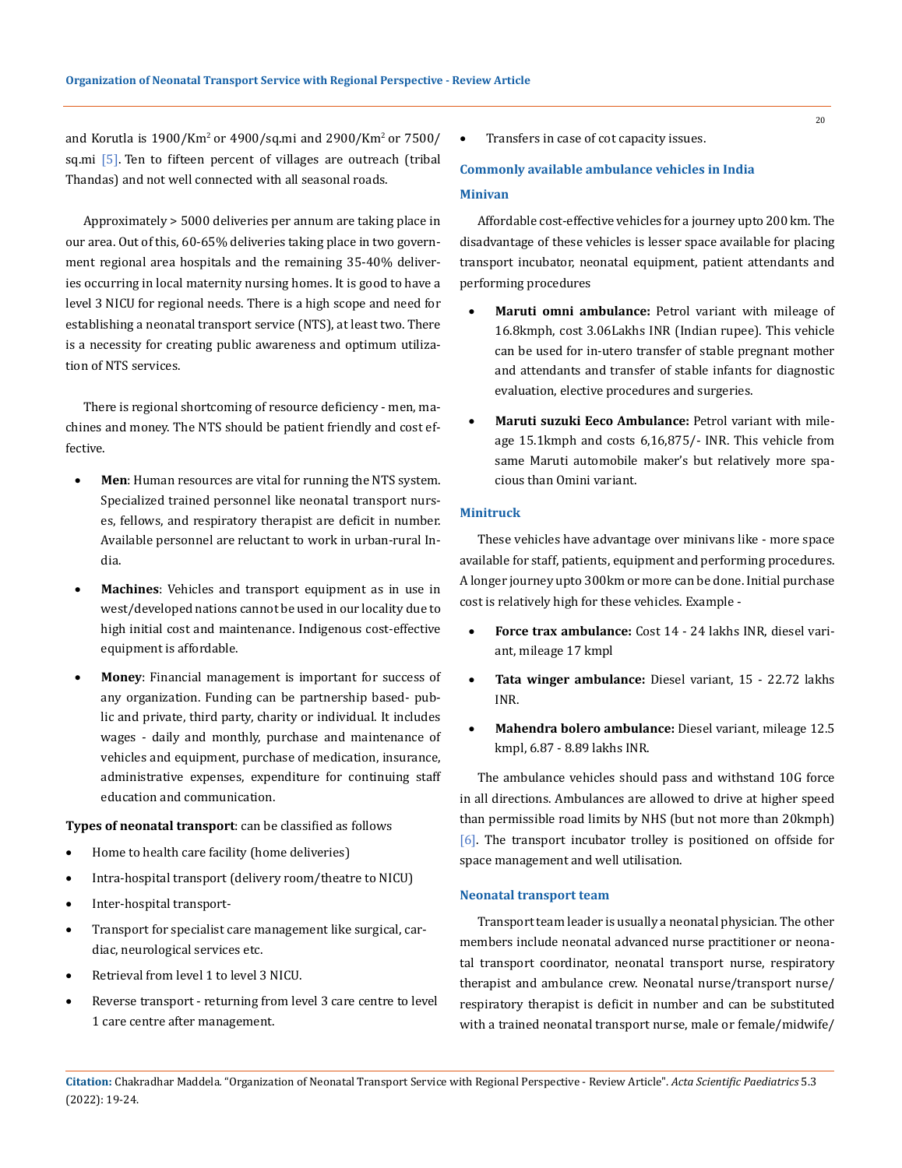and Korutla is 1900/Km2 or 4900/sq.mi and 2900/Km2 or 7500/ sq.mi [5]. Ten to fifteen percent of villages are outreach (tribal Thandas) and not well connected with all seasonal roads.

Approximately > 5000 deliveries per annum are taking place in our area. Out of this, 60-65% deliveries taking place in two government regional area hospitals and the remaining 35-40% deliveries occurring in local maternity nursing homes. It is good to have a level 3 NICU for regional needs. There is a high scope and need for establishing a neonatal transport service (NTS), at least two. There is a necessity for creating public awareness and optimum utilization of NTS services.

There is regional shortcoming of resource deficiency - men, machines and money. The NTS should be patient friendly and cost effective.

- Men: Human resources are vital for running the NTS system. Specialized trained personnel like neonatal transport nurses, fellows, and respiratory therapist are deficit in number. Available personnel are reluctant to work in urban-rural India.
- Machines: Vehicles and transport equipment as in use in west/developed nations cannot be used in our locality due to high initial cost and maintenance. Indigenous cost-effective equipment is affordable.
- **Money**: Financial management is important for success of any organization. Funding can be partnership based- public and private, third party, charity or individual. It includes wages - daily and monthly, purchase and maintenance of vehicles and equipment, purchase of medication, insurance, administrative expenses, expenditure for continuing staff education and communication.

# **Types of neonatal transport**: can be classified as follows

- • Home to health care facility (home deliveries)
- Intra-hospital transport (delivery room/theatre to NICU)
- Inter-hospital transport-
- Transport for specialist care management like surgical, cardiac, neurological services etc.
- • Retrieval from level 1 to level 3 NICU.
- • Reverse transport returning from level 3 care centre to level 1 care centre after management.

Transfers in case of cot capacity issues.

# **Commonly available ambulance vehicles in India Minivan**

Affordable cost-effective vehicles for a journey upto 200 km. The disadvantage of these vehicles is lesser space available for placing transport incubator, neonatal equipment, patient attendants and performing procedures

- **Maruti omni ambulance:** Petrol variant with mileage of 16.8kmph, cost 3.06Lakhs INR (Indian rupee). This vehicle can be used for in-utero transfer of stable pregnant mother and attendants and transfer of stable infants for diagnostic evaluation, elective procedures and surgeries.
- Maruti suzuki Eeco Ambulance: Petrol variant with mileage 15.1kmph and costs 6,16,875/- INR. This vehicle from same Maruti automobile maker's but relatively more spacious than Omini variant.

# **Minitruck**

These vehicles have advantage over minivans like - more space available for staff, patients, equipment and performing procedures. A longer journey upto 300km or more can be done. Initial purchase cost is relatively high for these vehicles. Example -

- Force trax ambulance: Cost 14 24 lakhs INR, diesel variant, mileage 17 kmpl
- Tata winger ambulance: Diesel variant, 15 22.72 lakhs INR.
- Mahendra bolero ambulance: Diesel variant, mileage 12.5 kmpl, 6.87 - 8.89 lakhs INR.

The ambulance vehicles should pass and withstand 10G force in all directions. Ambulances are allowed to drive at higher speed than permissible road limits by NHS (but not more than 20kmph) [6]. The transport incubator trolley is positioned on offside for space management and well utilisation.

#### **Neonatal transport team**

Transport team leader is usually a neonatal physician. The other members include neonatal advanced nurse practitioner or neonatal transport coordinator, neonatal transport nurse, respiratory therapist and ambulance crew. Neonatal nurse/transport nurse/ respiratory therapist is deficit in number and can be substituted with a trained neonatal transport nurse, male or female/midwife/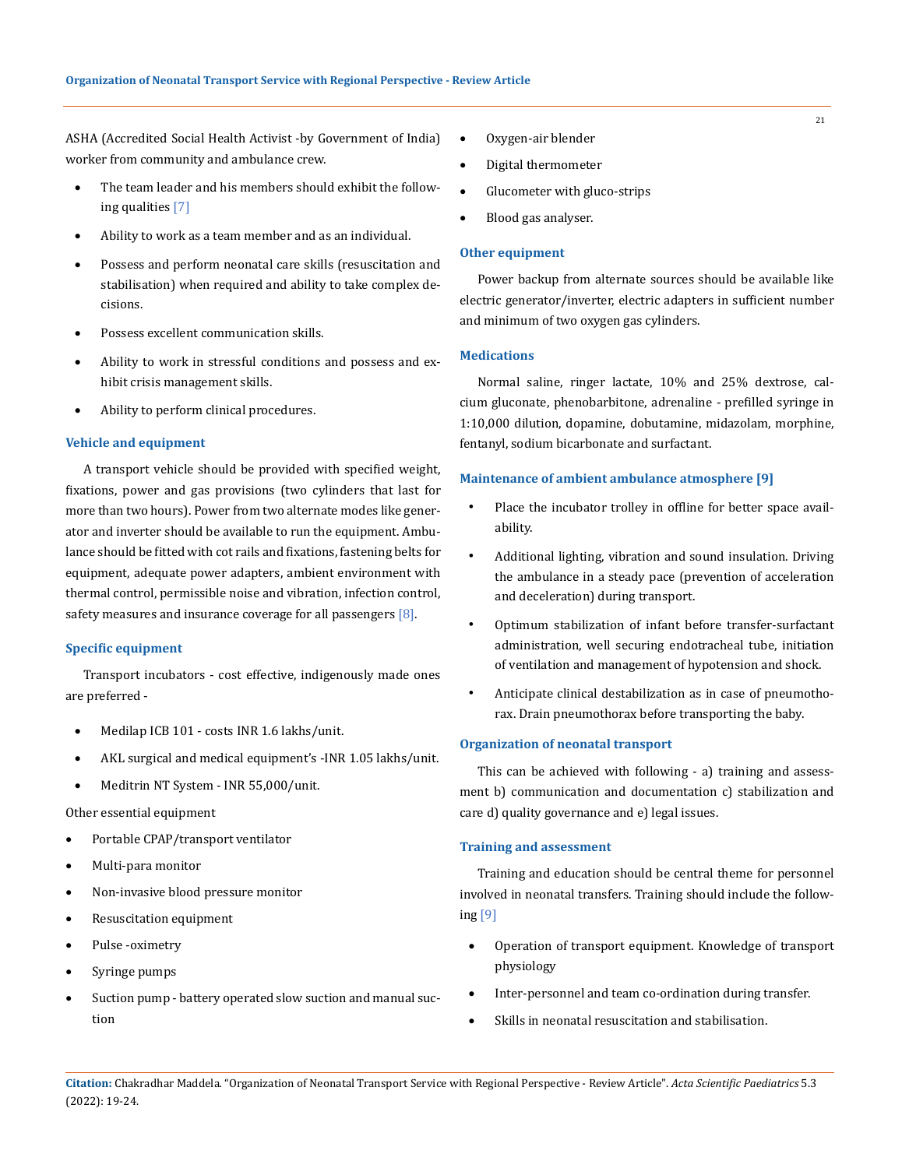ASHA (Accredited Social Health Activist -by Government of India) worker from community and ambulance crew.

- The team leader and his members should exhibit the following qualities [7]
- Ability to work as a team member and as an individual.
- Possess and perform neonatal care skills (resuscitation and stabilisation) when required and ability to take complex decisions.
- Possess excellent communication skills.
- Ability to work in stressful conditions and possess and exhibit crisis management skills.
- Ability to perform clinical procedures.

### **Vehicle and equipment**

A transport vehicle should be provided with specified weight, fixations, power and gas provisions (two cylinders that last for more than two hours). Power from two alternate modes like generator and inverter should be available to run the equipment. Ambulance should be fitted with cot rails and fixations, fastening belts for equipment, adequate power adapters, ambient environment with thermal control, permissible noise and vibration, infection control, safety measures and insurance coverage for all passengers  $[8]$ .

### **Specific equipment**

Transport incubators - cost effective, indigenously made ones are preferred -

- Medilap ICB 101 costs INR 1.6 lakhs/unit.
- AKL surgical and medical equipment's -INR 1.05 lakhs/unit.
- Meditrin NT System INR 55,000/unit.

Other essential equipment

- Portable CPAP/transport ventilator
- • Multi-para monitor
- • Non-invasive blood pressure monitor
- • Resuscitation equipment
- • Pulse -oximetry
- • Syringe pumps
- Suction pump battery operated slow suction and manual suction
- • Oxygen-air blender
- • Digital thermometer
- Glucometer with gluco-strips
- Blood gas analyser.

### **Other equipment**

Power backup from alternate sources should be available like electric generator/inverter, electric adapters in sufficient number and minimum of two oxygen gas cylinders.

### **Medications**

Normal saline, ringer lactate, 10% and 25% dextrose, calcium gluconate, phenobarbitone, adrenaline - prefilled syringe in 1:10,000 dilution, dopamine, dobutamine, midazolam, morphine, fentanyl, sodium bicarbonate and surfactant.

### **Maintenance of ambient ambulance atmosphere [9]**

- Place the incubator trolley in offline for better space availability.
- Additional lighting, vibration and sound insulation. Driving the ambulance in a steady pace (prevention of acceleration and deceleration) during transport.
- Optimum stabilization of infant before transfer-surfactant administration, well securing endotracheal tube, initiation of ventilation and management of hypotension and shock.
- Anticipate clinical destabilization as in case of pneumothorax. Drain pneumothorax before transporting the baby.

### **Organization of neonatal transport**

This can be achieved with following - a) training and assessment b) communication and documentation c) stabilization and care d) quality governance and e) legal issues.

### **Training and assessment**

Training and education should be central theme for personnel involved in neonatal transfers. Training should include the following [9]

- Operation of transport equipment. Knowledge of transport physiology
- Inter-personnel and team co-ordination during transfer.
- • Skills in neonatal resuscitation and stabilisation.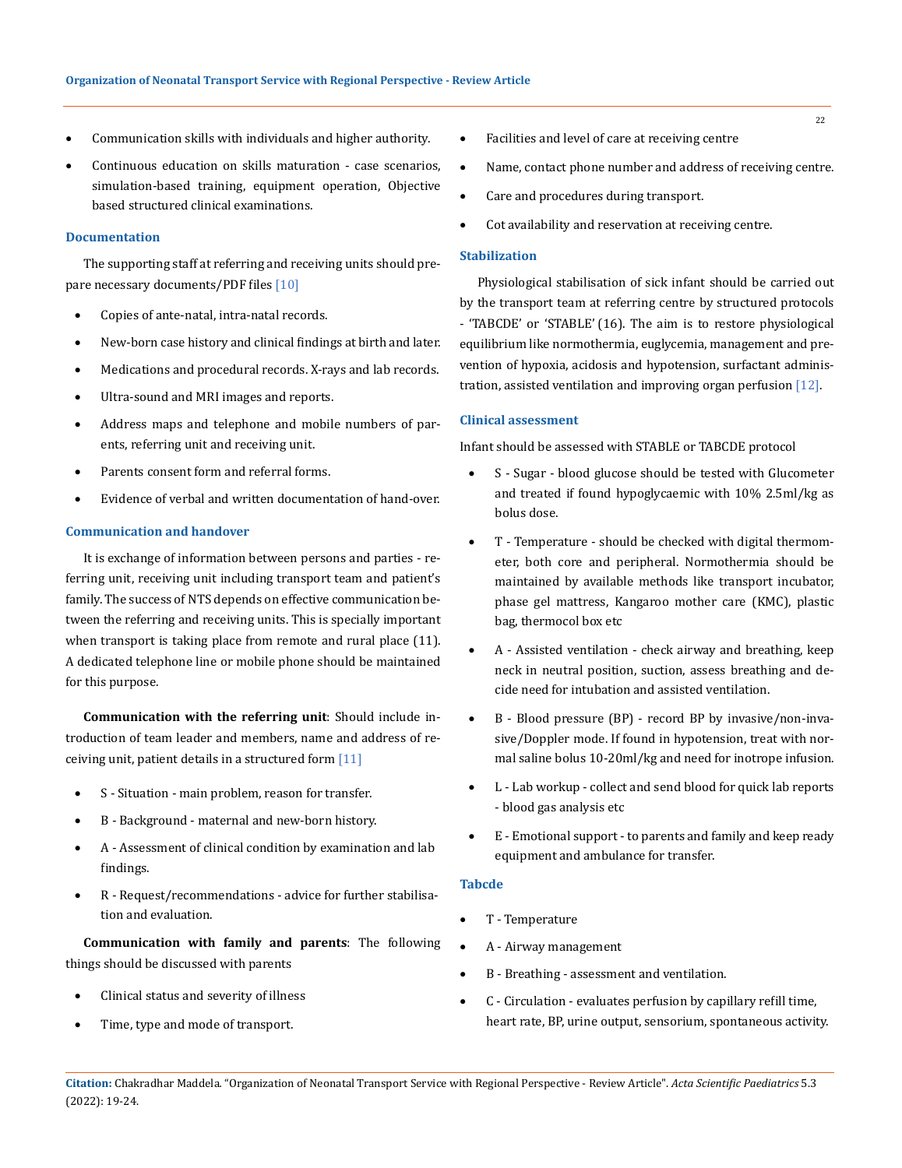- Communication skills with individuals and higher authority.
- Continuous education on skills maturation case scenarios, simulation-based training, equipment operation, Objective based structured clinical examinations.

### **Documentation**

The supporting staff at referring and receiving units should prepare necessary documents/PDF files [10]

- Copies of ante-natal, intra-natal records.
- New-born case history and clinical findings at birth and later.
- Medications and procedural records. X-rays and lab records.
- Ultra-sound and MRI images and reports.
- Address maps and telephone and mobile numbers of parents, referring unit and receiving unit.
- Parents consent form and referral forms.
- Evidence of verbal and written documentation of hand-over.

### **Communication and handover**

It is exchange of information between persons and parties - referring unit, receiving unit including transport team and patient's family. The success of NTS depends on effective communication between the referring and receiving units. This is specially important when transport is taking place from remote and rural place (11). A dedicated telephone line or mobile phone should be maintained for this purpose.

**Communication with the referring unit**: Should include introduction of team leader and members, name and address of receiving unit, patient details in a structured form [11]

- S Situation main problem, reason for transfer.
- B Background maternal and new-born history.
- A Assessment of clinical condition by examination and lab findings.
- R Request/recommendations advice for further stabilisation and evaluation.

**Communication with family and parents**: The following things should be discussed with parents

- Clinical status and severity of illness
- Time, type and mode of transport.
- • Facilities and level of care at receiving centre
- Name, contact phone number and address of receiving centre.
- Care and procedures during transport.
- • Cot availability and reservation at receiving centre.

#### **Stabilization**

Physiological stabilisation of sick infant should be carried out by the transport team at referring centre by structured protocols - 'TABCDE' or 'STABLE' (16). The aim is to restore physiological equilibrium like normothermia, euglycemia, management and prevention of hypoxia, acidosis and hypotension, surfactant administration, assisted ventilation and improving organ perfusion [12].

### **Clinical assessment**

Infant should be assessed with STABLE or TABCDE protocol

- S Sugar blood glucose should be tested with Glucometer and treated if found hypoglycaemic with 10% 2.5ml/kg as bolus dose.
- • T Temperature should be checked with digital thermometer, both core and peripheral. Normothermia should be maintained by available methods like transport incubator, phase gel mattress, Kangaroo mother care (KMC), plastic bag, thermocol box etc
- A Assisted ventilation check airway and breathing, keep neck in neutral position, suction, assess breathing and decide need for intubation and assisted ventilation.
- B Blood pressure (BP) record BP by invasive/non-invasive/Doppler mode. If found in hypotension, treat with normal saline bolus 10-20ml/kg and need for inotrope infusion.
- L Lab workup collect and send blood for quick lab reports - blood gas analysis etc
- E Emotional support to parents and family and keep ready equipment and ambulance for transfer.

### **Tabcde**

- T Temperature
- A Airway management
- B Breathing assessment and ventilation.
- • C Circulation evaluates perfusion by capillary refill time, heart rate, BP, urine output, sensorium, spontaneous activity.

**Citation:** Chakradhar Maddela*.* "Organization of Neonatal Transport Service with Regional Perspective - Review Article". *Acta Scientific Paediatrics* 5.3 (2022): 19-24.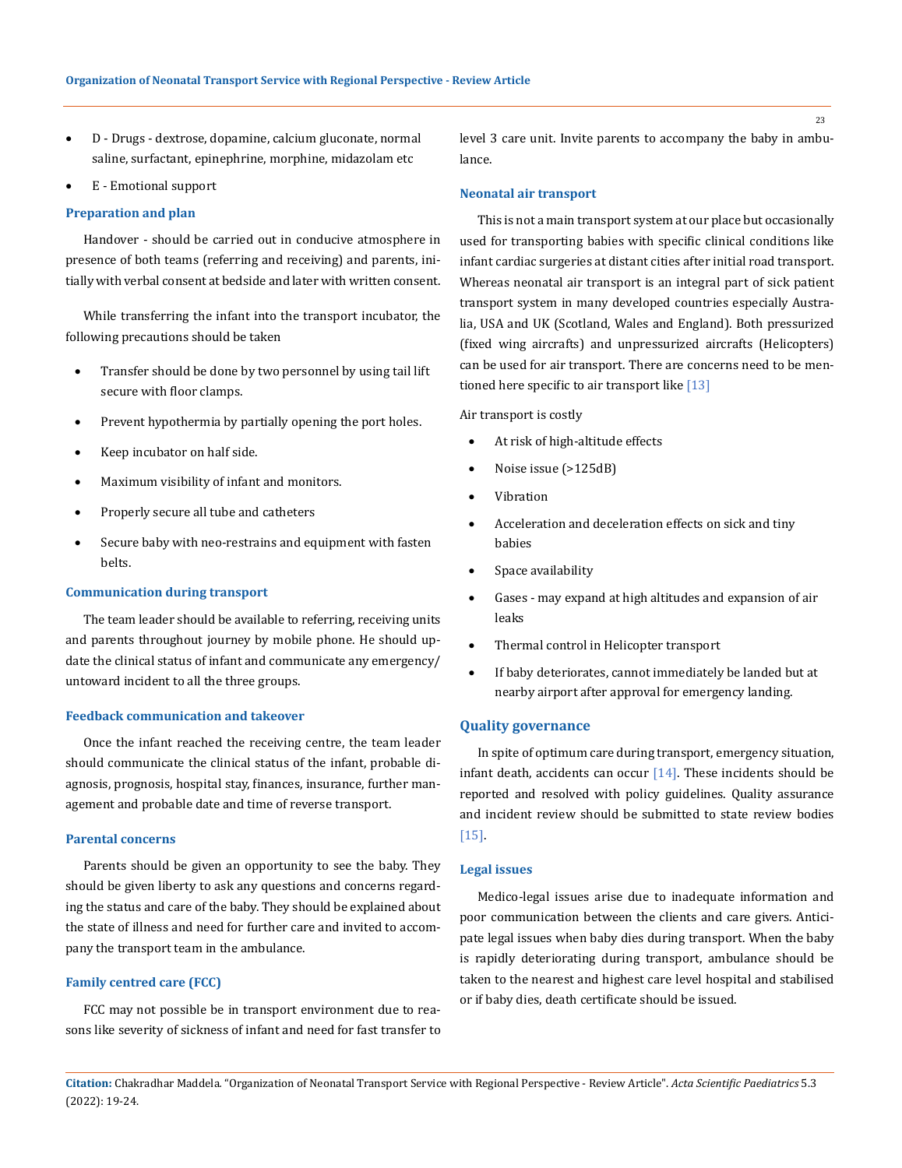- D Drugs dextrose, dopamine, calcium gluconate, normal saline, surfactant, epinephrine, morphine, midazolam etc
- E Emotional support

#### **Preparation and plan**

Handover - should be carried out in conducive atmosphere in presence of both teams (referring and receiving) and parents, initially with verbal consent at bedside and later with written consent.

While transferring the infant into the transport incubator, the following precautions should be taken

- Transfer should be done by two personnel by using tail lift secure with floor clamps.
- Prevent hypothermia by partially opening the port holes.
- Keep incubator on half side.
- Maximum visibility of infant and monitors.
- Properly secure all tube and catheters
- Secure baby with neo-restrains and equipment with fasten belts.

# **Communication during transport**

The team leader should be available to referring, receiving units and parents throughout journey by mobile phone. He should update the clinical status of infant and communicate any emergency/ untoward incident to all the three groups.

### **Feedback communication and takeover**

Once the infant reached the receiving centre, the team leader should communicate the clinical status of the infant, probable diagnosis, prognosis, hospital stay, finances, insurance, further management and probable date and time of reverse transport.

#### **Parental concerns**

Parents should be given an opportunity to see the baby. They should be given liberty to ask any questions and concerns regarding the status and care of the baby. They should be explained about the state of illness and need for further care and invited to accompany the transport team in the ambulance.

#### **Family centred care (FCC)**

FCC may not possible be in transport environment due to reasons like severity of sickness of infant and need for fast transfer to level 3 care unit. Invite parents to accompany the baby in ambulance.

#### **Neonatal air transport**

This is not a main transport system at our place but occasionally used for transporting babies with specific clinical conditions like infant cardiac surgeries at distant cities after initial road transport. Whereas neonatal air transport is an integral part of sick patient transport system in many developed countries especially Australia, USA and UK (Scotland, Wales and England). Both pressurized (fixed wing aircrafts) and unpressurized aircrafts (Helicopters) can be used for air transport. There are concerns need to be mentioned here specific to air transport like [13]

Air transport is costly

- At risk of high-altitude effects
- Noise issue (>125dB)
- **Vibration**
- Acceleration and deceleration effects on sick and tiny babies
- Space availability
- • Gases may expand at high altitudes and expansion of air leaks
- Thermal control in Helicopter transport
- If baby deteriorates, cannot immediately be landed but at nearby airport after approval for emergency landing.

### **Quality governance**

In spite of optimum care during transport, emergency situation, infant death, accidents can occur  $[14]$ . These incidents should be reported and resolved with policy guidelines. Quality assurance and incident review should be submitted to state review bodies [15].

### **Legal issues**

Medico-legal issues arise due to inadequate information and poor communication between the clients and care givers. Anticipate legal issues when baby dies during transport. When the baby is rapidly deteriorating during transport, ambulance should be taken to the nearest and highest care level hospital and stabilised or if baby dies, death certificate should be issued.

**Citation:** Chakradhar Maddela*.* "Organization of Neonatal Transport Service with Regional Perspective - Review Article". *Acta Scientific Paediatrics* 5.3 (2022): 19-24.

23